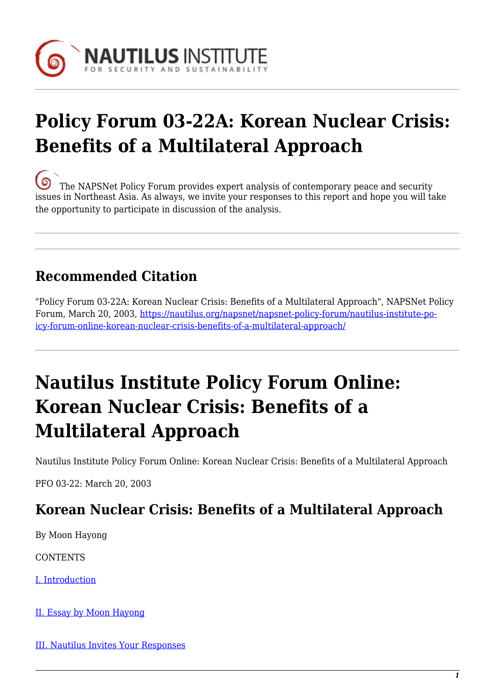

# **Policy Forum 03-22A: Korean Nuclear Crisis: Benefits of a Multilateral Approach**

[T](https://nautilus.org/wp-content/uploads/2013/05/nautilus-logo-small.png)he NAPSNet Policy Forum provides expert analysis of contemporary peace and security issues in Northeast Asia. As always, we invite your responses to this report and hope you will take the opportunity to participate in discussion of the analysis.

## **Recommended Citation**

"Policy Forum 03-22A: Korean Nuclear Crisis: Benefits of a Multilateral Approach", NAPSNet Policy Forum, March 20, 2003, [https://nautilus.org/napsnet/napsnet-policy-forum/nautilus-institute-po](https://nautilus.org/napsnet/napsnet-policy-forum/nautilus-institute-policy-forum-online-korean-nuclear-crisis-benefits-of-a-multilateral-approach/)[icy-forum-online-korean-nuclear-crisis-benefits-of-a-multilateral-approach/](https://nautilus.org/napsnet/napsnet-policy-forum/nautilus-institute-policy-forum-online-korean-nuclear-crisis-benefits-of-a-multilateral-approach/)

## **Nautilus Institute Policy Forum Online: Korean Nuclear Crisis: Benefits of a Multilateral Approach**

Nautilus Institute Policy Forum Online: Korean Nuclear Crisis: Benefits of a Multilateral Approach

PFO 03-22: March 20, 2003

### **Korean Nuclear Crisis: Benefits of a Multilateral Approach**

By Moon Hayong

**CONTENTS** 

[I. Introduction](#page-1-0)

[II. Essay by Moon Hayong](#page-1-1)

[III. Nautilus Invites Your Responses](#page-3-0)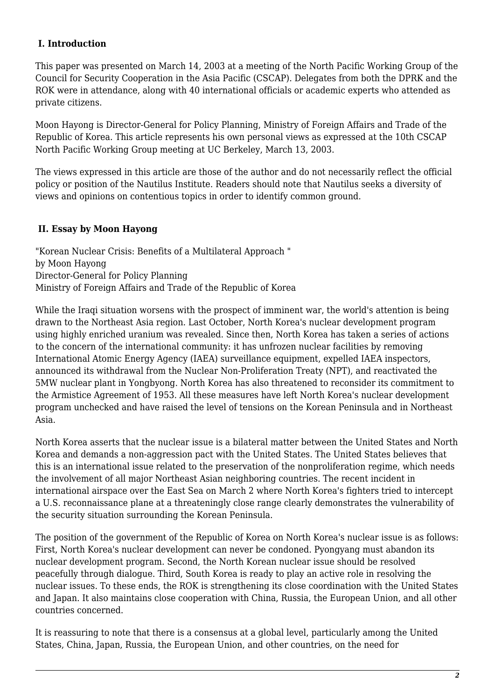### <span id="page-1-0"></span> **I. Introduction**

This paper was presented on March 14, 2003 at a meeting of the North Pacific Working Group of the Council for Security Cooperation in the Asia Pacific (CSCAP). Delegates from both the DPRK and the ROK were in attendance, along with 40 international officials or academic experts who attended as private citizens.

Moon Hayong is Director-General for Policy Planning, Ministry of Foreign Affairs and Trade of the Republic of Korea. This article represents his own personal views as expressed at the 10th CSCAP North Pacific Working Group meeting at UC Berkeley, March 13, 2003.

The views expressed in this article are those of the author and do not necessarily reflect the official policy or position of the Nautilus Institute. Readers should note that Nautilus seeks a diversity of views and opinions on contentious topics in order to identify common ground.

### <span id="page-1-1"></span> **II. Essay by Moon Hayong**

"Korean Nuclear Crisis: Benefits of a Multilateral Approach " by Moon Hayong Director-General for Policy Planning Ministry of Foreign Affairs and Trade of the Republic of Korea

While the Iraqi situation worsens with the prospect of imminent war, the world's attention is being drawn to the Northeast Asia region. Last October, North Korea's nuclear development program using highly enriched uranium was revealed. Since then, North Korea has taken a series of actions to the concern of the international community: it has unfrozen nuclear facilities by removing International Atomic Energy Agency (IAEA) surveillance equipment, expelled IAEA inspectors, announced its withdrawal from the Nuclear Non-Proliferation Treaty (NPT), and reactivated the 5MW nuclear plant in Yongbyong. North Korea has also threatened to reconsider its commitment to the Armistice Agreement of 1953. All these measures have left North Korea's nuclear development program unchecked and have raised the level of tensions on the Korean Peninsula and in Northeast Asia.

North Korea asserts that the nuclear issue is a bilateral matter between the United States and North Korea and demands a non-aggression pact with the United States. The United States believes that this is an international issue related to the preservation of the nonproliferation regime, which needs the involvement of all major Northeast Asian neighboring countries. The recent incident in international airspace over the East Sea on March 2 where North Korea's fighters tried to intercept a U.S. reconnaissance plane at a threateningly close range clearly demonstrates the vulnerability of the security situation surrounding the Korean Peninsula.

The position of the government of the Republic of Korea on North Korea's nuclear issue is as follows: First, North Korea's nuclear development can never be condoned. Pyongyang must abandon its nuclear development program. Second, the North Korean nuclear issue should be resolved peacefully through dialogue. Third, South Korea is ready to play an active role in resolving the nuclear issues. To these ends, the ROK is strengthening its close coordination with the United States and Japan. It also maintains close cooperation with China, Russia, the European Union, and all other countries concerned.

It is reassuring to note that there is a consensus at a global level, particularly among the United States, China, Japan, Russia, the European Union, and other countries, on the need for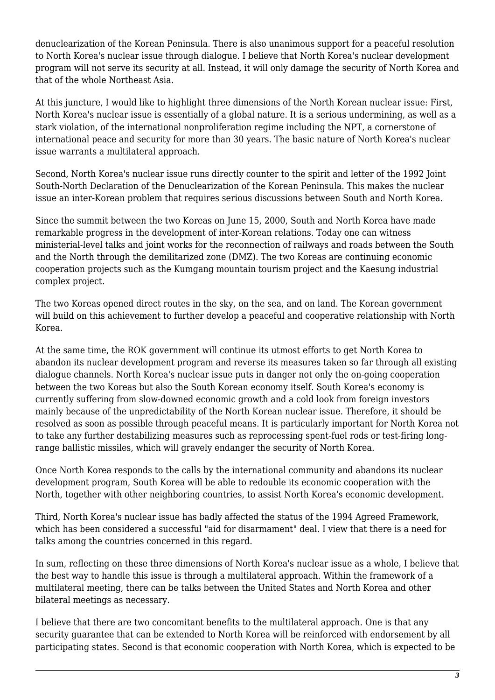denuclearization of the Korean Peninsula. There is also unanimous support for a peaceful resolution to North Korea's nuclear issue through dialogue. I believe that North Korea's nuclear development program will not serve its security at all. Instead, it will only damage the security of North Korea and that of the whole Northeast Asia.

At this juncture, I would like to highlight three dimensions of the North Korean nuclear issue: First, North Korea's nuclear issue is essentially of a global nature. It is a serious undermining, as well as a stark violation, of the international nonproliferation regime including the NPT, a cornerstone of international peace and security for more than 30 years. The basic nature of North Korea's nuclear issue warrants a multilateral approach.

Second, North Korea's nuclear issue runs directly counter to the spirit and letter of the 1992 Joint South-North Declaration of the Denuclearization of the Korean Peninsula. This makes the nuclear issue an inter-Korean problem that requires serious discussions between South and North Korea.

Since the summit between the two Koreas on June 15, 2000, South and North Korea have made remarkable progress in the development of inter-Korean relations. Today one can witness ministerial-level talks and joint works for the reconnection of railways and roads between the South and the North through the demilitarized zone (DMZ). The two Koreas are continuing economic cooperation projects such as the Kumgang mountain tourism project and the Kaesung industrial complex project.

The two Koreas opened direct routes in the sky, on the sea, and on land. The Korean government will build on this achievement to further develop a peaceful and cooperative relationship with North Korea.

At the same time, the ROK government will continue its utmost efforts to get North Korea to abandon its nuclear development program and reverse its measures taken so far through all existing dialogue channels. North Korea's nuclear issue puts in danger not only the on-going cooperation between the two Koreas but also the South Korean economy itself. South Korea's economy is currently suffering from slow-downed economic growth and a cold look from foreign investors mainly because of the unpredictability of the North Korean nuclear issue. Therefore, it should be resolved as soon as possible through peaceful means. It is particularly important for North Korea not to take any further destabilizing measures such as reprocessing spent-fuel rods or test-firing longrange ballistic missiles, which will gravely endanger the security of North Korea.

Once North Korea responds to the calls by the international community and abandons its nuclear development program, South Korea will be able to redouble its economic cooperation with the North, together with other neighboring countries, to assist North Korea's economic development.

Third, North Korea's nuclear issue has badly affected the status of the 1994 Agreed Framework, which has been considered a successful "aid for disarmament" deal. I view that there is a need for talks among the countries concerned in this regard.

In sum, reflecting on these three dimensions of North Korea's nuclear issue as a whole, I believe that the best way to handle this issue is through a multilateral approach. Within the framework of a multilateral meeting, there can be talks between the United States and North Korea and other bilateral meetings as necessary.

I believe that there are two concomitant benefits to the multilateral approach. One is that any security guarantee that can be extended to North Korea will be reinforced with endorsement by all participating states. Second is that economic cooperation with North Korea, which is expected to be